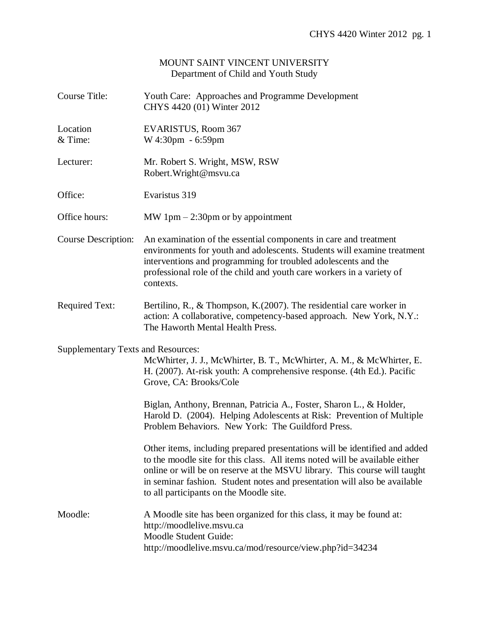## MOUNT SAINT VINCENT UNIVERSITY Department of Child and Youth Study

| <b>Course Title:</b>                      | Youth Care: Approaches and Programme Development<br>CHYS 4420 (01) Winter 2012                                                                                                                                                                                                                                                                                 |
|-------------------------------------------|----------------------------------------------------------------------------------------------------------------------------------------------------------------------------------------------------------------------------------------------------------------------------------------------------------------------------------------------------------------|
| Location<br>& Time:                       | EVARISTUS, Room 367<br>W 4:30pm - 6:59pm                                                                                                                                                                                                                                                                                                                       |
| Lecturer:                                 | Mr. Robert S. Wright, MSW, RSW<br>Robert. Wright@msvu.ca                                                                                                                                                                                                                                                                                                       |
| Office:                                   | Evaristus 319                                                                                                                                                                                                                                                                                                                                                  |
| Office hours:                             | MW 1pm $-$ 2:30pm or by appointment                                                                                                                                                                                                                                                                                                                            |
| Course Description:                       | An examination of the essential components in care and treatment<br>environments for youth and adolescents. Students will examine treatment<br>interventions and programming for troubled adolescents and the<br>professional role of the child and youth care workers in a variety of<br>contexts.                                                            |
| <b>Required Text:</b>                     | Bertilino, R., & Thompson, K. $(2007)$ . The residential care worker in<br>action: A collaborative, competency-based approach. New York, N.Y.:<br>The Haworth Mental Health Press.                                                                                                                                                                             |
| <b>Supplementary Texts and Resources:</b> | McWhirter, J. J., McWhirter, B. T., McWhirter, A. M., & McWhirter, E.<br>H. (2007). At-risk youth: A comprehensive response. (4th Ed.). Pacific<br>Grove, CA: Brooks/Cole                                                                                                                                                                                      |
|                                           | Biglan, Anthony, Brennan, Patricia A., Foster, Sharon L., & Holder,<br>Harold D. (2004). Helping Adolescents at Risk: Prevention of Multiple<br>Problem Behaviors. New York: The Guildford Press.                                                                                                                                                              |
|                                           | Other items, including prepared presentations will be identified and added<br>to the moodle site for this class. All items noted will be available either<br>online or will be on reserve at the MSVU library. This course will taught<br>in seminar fashion. Student notes and presentation will also be available<br>to all participants on the Moodle site. |
| Moodle:                                   | A Moodle site has been organized for this class, it may be found at:<br>http://moodlelive.msvu.ca<br>Moodle Student Guide:<br>http://moodlelive.msvu.ca/mod/resource/view.php?id=34234                                                                                                                                                                         |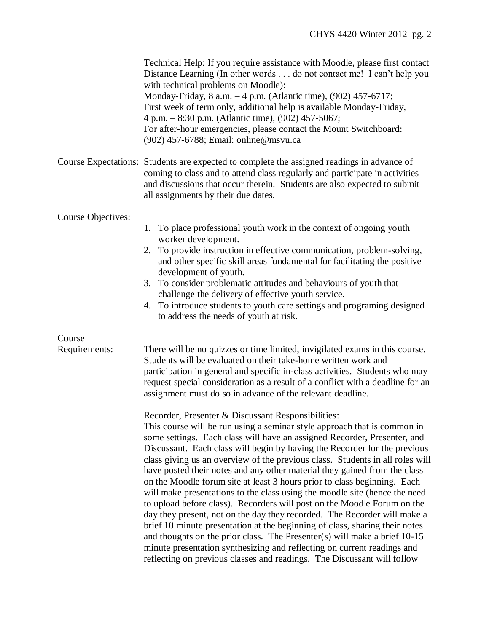|                           | Technical Help: If you require assistance with Moodle, please first contact<br>Distance Learning (In other words do not contact me! I can't help you<br>with technical problems on Moodle):<br>Monday-Friday, 8 a.m. - 4 p.m. (Atlantic time), (902) 457-6717;<br>First week of term only, additional help is available Monday-Friday,<br>4 p.m. - 8:30 p.m. (Atlantic time), (902) 457-5067;<br>For after-hour emergencies, please contact the Mount Switchboard:<br>(902) 457-6788; Email: online@msvu.ca                                                                                                                                                                                                                                                                                                                                                                                                                                                                                                                                                                                                                                                                                                                                                                                                                                                                                                                                                              |
|---------------------------|--------------------------------------------------------------------------------------------------------------------------------------------------------------------------------------------------------------------------------------------------------------------------------------------------------------------------------------------------------------------------------------------------------------------------------------------------------------------------------------------------------------------------------------------------------------------------------------------------------------------------------------------------------------------------------------------------------------------------------------------------------------------------------------------------------------------------------------------------------------------------------------------------------------------------------------------------------------------------------------------------------------------------------------------------------------------------------------------------------------------------------------------------------------------------------------------------------------------------------------------------------------------------------------------------------------------------------------------------------------------------------------------------------------------------------------------------------------------------|
|                           | Course Expectations: Students are expected to complete the assigned readings in advance of<br>coming to class and to attend class regularly and participate in activities<br>and discussions that occur therein. Students are also expected to submit<br>all assignments by their due dates.                                                                                                                                                                                                                                                                                                                                                                                                                                                                                                                                                                                                                                                                                                                                                                                                                                                                                                                                                                                                                                                                                                                                                                             |
| <b>Course Objectives:</b> | 1. To place professional youth work in the context of ongoing youth<br>worker development.<br>2. To provide instruction in effective communication, problem-solving,<br>and other specific skill areas fundamental for facilitating the positive<br>development of youth.<br>3. To consider problematic attitudes and behaviours of youth that<br>challenge the delivery of effective youth service.<br>4. To introduce students to youth care settings and programing designed<br>to address the needs of youth at risk.                                                                                                                                                                                                                                                                                                                                                                                                                                                                                                                                                                                                                                                                                                                                                                                                                                                                                                                                                |
| Course<br>Requirements:   | There will be no quizzes or time limited, invigilated exams in this course.<br>Students will be evaluated on their take-home written work and<br>participation in general and specific in-class activities. Students who may<br>request special consideration as a result of a conflict with a deadline for an<br>assignment must do so in advance of the relevant deadline.<br>Recorder, Presenter & Discussant Responsibilities:<br>This course will be run using a seminar style approach that is common in<br>some settings. Each class will have an assigned Recorder, Presenter, and<br>Discussant. Each class will begin by having the Recorder for the previous<br>class giving us an overview of the previous class. Students in all roles will<br>have posted their notes and any other material they gained from the class<br>on the Moodle forum site at least 3 hours prior to class beginning. Each<br>will make presentations to the class using the moodle site (hence the need<br>to upload before class). Recorders will post on the Moodle Forum on the<br>day they present, not on the day they recorded. The Recorder will make a<br>brief 10 minute presentation at the beginning of class, sharing their notes<br>and thoughts on the prior class. The Presenter(s) will make a brief 10-15<br>minute presentation synthesizing and reflecting on current readings and<br>reflecting on previous classes and readings. The Discussant will follow |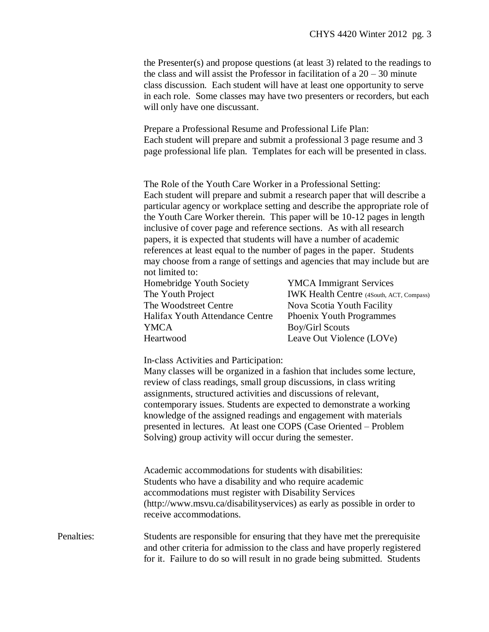the Presenter(s) and propose questions (at least 3) related to the readings to the class and will assist the Professor in facilitation of a  $20 - 30$  minute class discussion. Each student will have at least one opportunity to serve in each role. Some classes may have two presenters or recorders, but each will only have one discussant.

Prepare a Professional Resume and Professional Life Plan: Each student will prepare and submit a professional 3 page resume and 3 page professional life plan. Templates for each will be presented in class.

The Role of the Youth Care Worker in a Professional Setting: Each student will prepare and submit a research paper that will describe a particular agency or workplace setting and describe the appropriate role of the Youth Care Worker therein. This paper will be 10-12 pages in length inclusive of cover page and reference sections. As with all research papers, it is expected that students will have a number of academic references at least equal to the number of pages in the paper. Students may choose from a range of settings and agencies that may include but are not limited to:

| Homebridge Youth Society               | <b>YMCA</b> Immigrant Services                  |
|----------------------------------------|-------------------------------------------------|
| The Youth Project                      | <b>IWK Health Centre (4South, ACT, Compass)</b> |
| The Woodstreet Centre                  | Nova Scotia Youth Facility                      |
| <b>Halifax Youth Attendance Centre</b> | <b>Phoenix Youth Programmes</b>                 |
| YMCA                                   | <b>Boy/Girl Scouts</b>                          |
| Heartwood                              | Leave Out Violence (LOVe)                       |

In-class Activities and Participation:

Many classes will be organized in a fashion that includes some lecture, review of class readings, small group discussions, in class writing assignments, structured activities and discussions of relevant, contemporary issues. Students are expected to demonstrate a working knowledge of the assigned readings and engagement with materials presented in lectures. At least one COPS (Case Oriented – Problem Solving) group activity will occur during the semester.

Academic accommodations for students with disabilities: Students who have a disability and who require academic accommodations must register with Disability Services (http://www.msvu.ca/disabilityservices) as early as possible in order to receive accommodations.

Penalties: Students are responsible for ensuring that they have met the prerequisite and other criteria for admission to the class and have properly registered for it. Failure to do so will result in no grade being submitted. Students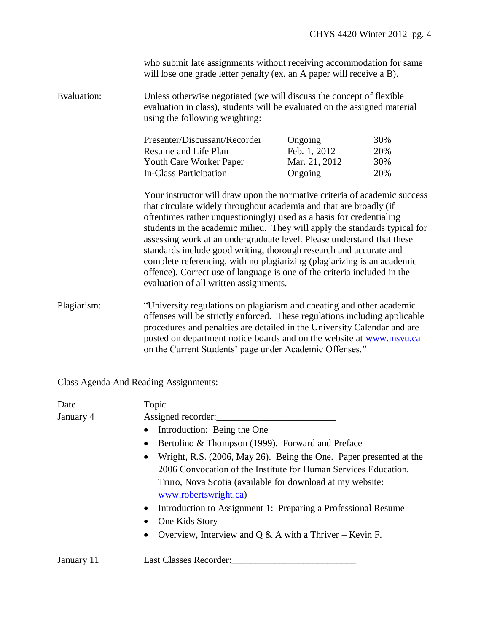who submit late assignments without receiving accommodation for same will lose one grade letter penalty (ex. an A paper will receive a B).

Evaluation: Unless otherwise negotiated (we will discuss the concept of flexible evaluation in class), students will be evaluated on the assigned material using the following weighting:

| Presenter/Discussant/Recorder | Ongoing       | 30% |
|-------------------------------|---------------|-----|
| Resume and Life Plan          | Feb. 1, 2012  | 20% |
| Youth Care Worker Paper       | Mar. 21, 2012 | 30% |
| In-Class Participation        | Ongoing       | 20% |

Your instructor will draw upon the normative criteria of academic success that circulate widely throughout academia and that are broadly (if oftentimes rather unquestioningly) used as a basis for credentialing students in the academic milieu. They will apply the standards typical for assessing work at an undergraduate level. Please understand that these standards include good writing, thorough research and accurate and complete referencing, with no plagiarizing (plagiarizing is an academic offence). Correct use of language is one of the criteria included in the evaluation of all written assignments.

Plagiarism: "University regulations on plagiarism and cheating and other academic offenses will be strictly enforced. These regulations including applicable procedures and penalties are detailed in the University Calendar and are posted on department notice boards and on the website at [www.msvu.ca](http://www.msvu.ca/) on the Current Students' page under Academic Offenses."

Class Agenda And Reading Assignments:

| Date       | Topic                                                                                                                                              |
|------------|----------------------------------------------------------------------------------------------------------------------------------------------------|
| January 4  | Assigned recorder:                                                                                                                                 |
|            | Introduction: Being the One<br>$\bullet$                                                                                                           |
|            | Bertolino & Thompson (1999). Forward and Preface<br>$\bullet$                                                                                      |
|            | Wright, R.S. (2006, May 26). Being the One. Paper presented at the<br>$\bullet$<br>2006 Convocation of the Institute for Human Services Education. |
|            | Truro, Nova Scotia (available for download at my website:<br>www.robertswright.ca)                                                                 |
|            | Introduction to Assignment 1: Preparing a Professional Resume<br>$\bullet$                                                                         |
|            | One Kids Story                                                                                                                                     |
|            | Overview, Interview and Q & A with a Thriver – Kevin F.<br>$\bullet$                                                                               |
| January 11 | <b>Last Classes Recorder:</b>                                                                                                                      |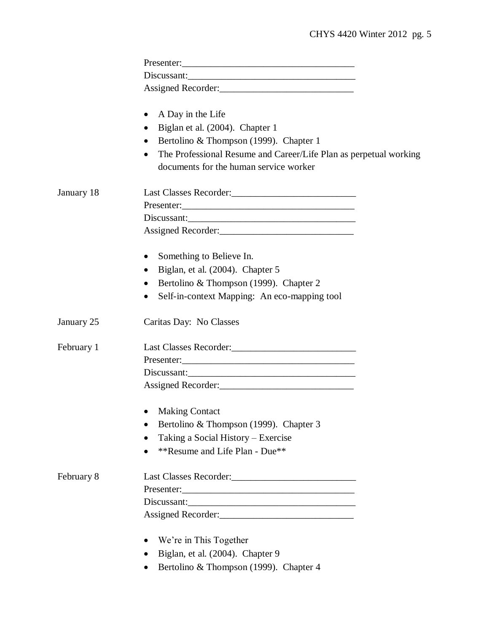|            | A Day in the Life<br>$\bullet$                                                                                           |
|------------|--------------------------------------------------------------------------------------------------------------------------|
|            | Biglan et al. (2004). Chapter 1<br>$\bullet$                                                                             |
|            | Bertolino & Thompson (1999). Chapter 1<br>$\bullet$                                                                      |
|            | The Professional Resume and Career/Life Plan as perpetual working<br>$\bullet$<br>documents for the human service worker |
| January 18 |                                                                                                                          |
|            |                                                                                                                          |
|            | Discussant:                                                                                                              |
|            |                                                                                                                          |
|            | Something to Believe In.<br>$\bullet$                                                                                    |
|            | Biglan, et al. (2004). Chapter 5<br>$\bullet$                                                                            |
|            | Bertolino & Thompson (1999). Chapter 2<br>$\bullet$                                                                      |
|            | Self-in-context Mapping: An eco-mapping tool<br>$\bullet$                                                                |
| January 25 | Caritas Day: No Classes                                                                                                  |
| February 1 |                                                                                                                          |
|            |                                                                                                                          |
|            | Discussant:                                                                                                              |
|            |                                                                                                                          |
|            | <b>Making Contact</b>                                                                                                    |
|            | Bertolino & Thompson (1999). Chapter 3<br>$\bullet$                                                                      |
|            | Taking a Social History – Exercise                                                                                       |
|            | **Resume and Life Plan - Due**                                                                                           |
| February 8 |                                                                                                                          |
|            |                                                                                                                          |
|            |                                                                                                                          |
|            |                                                                                                                          |
|            | We're in This Together<br>$\bullet$                                                                                      |
|            | Biglan, et al. (2004). Chapter 9<br>$\bullet$                                                                            |
|            | Bertolino & Thompson (1999). Chapter 4<br>$\bullet$                                                                      |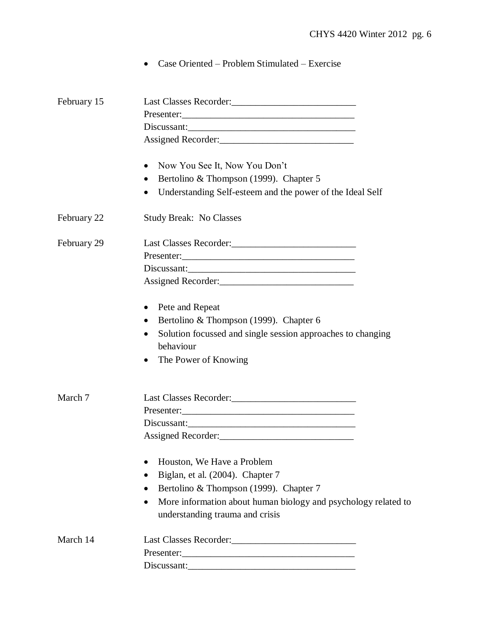Case Oriented – Problem Stimulated – Exercise

| February 15 |                                                                                                                |
|-------------|----------------------------------------------------------------------------------------------------------------|
|             |                                                                                                                |
|             | Discussant:                                                                                                    |
|             |                                                                                                                |
|             | Now You See It, Now You Don't<br>$\bullet$                                                                     |
|             | Bertolino & Thompson (1999). Chapter 5                                                                         |
|             | Understanding Self-esteem and the power of the Ideal Self                                                      |
| February 22 | <b>Study Break: No Classes</b>                                                                                 |
| February 29 |                                                                                                                |
|             |                                                                                                                |
|             | Discussant:                                                                                                    |
|             |                                                                                                                |
|             | Pete and Repeat                                                                                                |
|             | Bertolino & Thompson (1999). Chapter 6                                                                         |
|             | Solution focussed and single session approaches to changing<br>behaviour                                       |
|             | The Power of Knowing<br>$\bullet$                                                                              |
| March 7     |                                                                                                                |
|             |                                                                                                                |
|             |                                                                                                                |
|             | Discussant:<br>Assigned Recorder:                                                                              |
|             | Houston, We Have a Problem                                                                                     |
|             | Biglan, et al. (2004). Chapter 7                                                                               |
|             | Bertolino & Thompson (1999). Chapter 7                                                                         |
|             | $\bullet$                                                                                                      |
|             | More information about human biology and psychology related to<br>$\bullet$<br>understanding trauma and crisis |
| March 14    |                                                                                                                |
|             |                                                                                                                |
|             | Discussant:                                                                                                    |